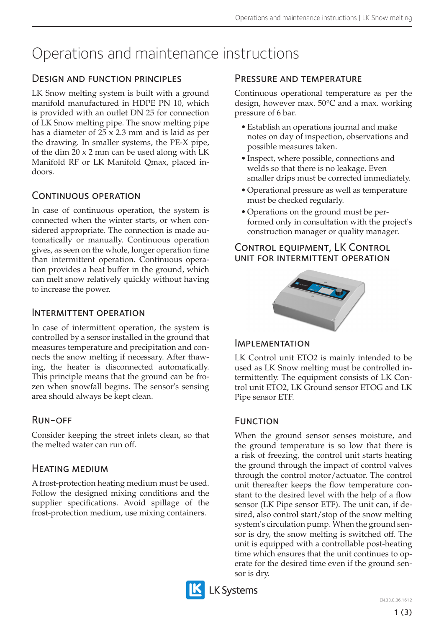# Operations and maintenance instructions

# Design and function principles

LK Snow melting system is built with a ground manifold manufactured in HDPE PN 10, which is provided with an outlet DN 25 for connection of LK Snow melting pipe. The snow melting pipe has a diameter of 25 x 2.3 mm and is laid as per the drawing. In smaller systems, the PE-X pipe, of the dim 20 x 2 mm can be used along with LK Manifold RF or LK Manifold Qmax, placed indoors.

# CONTINUOUS OPERATION

In case of continuous operation, the system is connected when the winter starts, or when considered appropriate. The connection is made automatically or manually. Continuous operation gives, as seen on the whole, longer operation time than intermittent operation. Continuous operation provides a heat buffer in the ground, which can melt snow relatively quickly without having to increase the power.

## Intermittent operation

In case of intermittent operation, the system is controlled by a sensor installed in the ground that measures temperature and precipitation and connects the snow melting if necessary. After thawing, the heater is disconnected automatically. This principle means that the ground can be frozen when snowfall begins. The sensor's sensing area should always be kept clean.

# Run-off

Consider keeping the street inlets clean, so that the melted water can run off.

# Heating medium

A frost-protection heating medium must be used. Follow the designed mixing conditions and the supplier specifications. Avoid spillage of the frost-protection medium, use mixing containers.

# Pressure and temperature

Continuous operational temperature as per the design, however max. 50°C and a max. working pressure of 6 bar.

- Establish an operations journal and make notes on day of inspection, observations and possible measures taken.
- Inspect, where possible, connections and welds so that there is no leakage. Even smaller drips must be corrected immediately.
- Operational pressure as well as temperature must be checked regularly.
- Operations on the ground must be performed only in consultation with the project's construction manager or quality manager.

### Control equipment, LK Control unit for intermittent operation



#### Implementation

LK Control unit ETO2 is mainly intended to be used as LK Snow melting must be controlled intermittently. The equipment consists of LK Control unit ETO2, LK Ground sensor ETOG and LK Pipe sensor ETF.

# **FUNCTION**

When the ground sensor senses moisture, and the ground temperature is so low that there is a risk of freezing, the control unit starts heating the ground through the impact of control valves through the control motor/actuator. The control unit thereafter keeps the flow temperature constant to the desired level with the help of a flow sensor (LK Pipe sensor ETF). The unit can, if desired, also control start/stop of the snow melting system's circulation pump. When the ground sensor is dry, the snow melting is switched off. The unit is equipped with a controllable post-heating time which ensures that the unit continues to operate for the desired time even if the ground sensor is dry.



**LK Systems**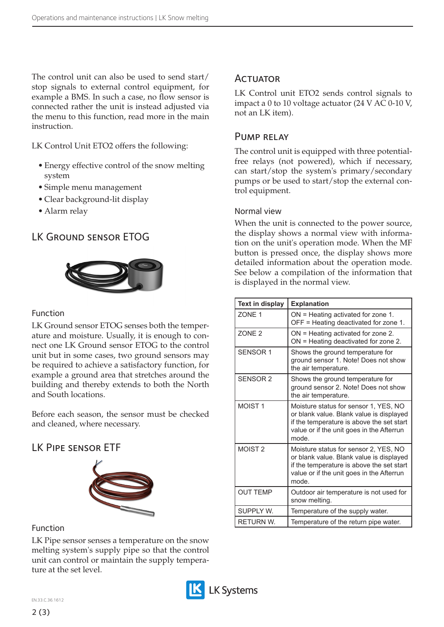The control unit can also be used to send start/ stop signals to external control equipment, for example a BMS. In such a case, no flow sensor is connected rather the unit is instead adjusted via the menu to this function, read more in the main instruction.

LK Control Unit ETO2 offers the following:

- Energy effective control of the snow melting system
- Simple menu management
- Clear background-lit display
- Alarm relay

# LK Ground sensor ETOG



#### Function

LK Ground sensor ETOG senses both the temperature and moisture. Usually, it is enough to connect one LK Ground sensor ETOG to the control unit but in some cases, two ground sensors may be required to achieve a satisfactory function, for example a ground area that stretches around the building and thereby extends to both the North and South locations.

Before each season, the sensor must be checked and cleaned, where necessary.

# LK Pipe sensor ETF



#### Function

LK Pipe sensor senses a temperature on the snow melting system's supply pipe so that the control unit can control or maintain the supply temperature at the set level.



# **ACTUATOR**

LK Control unit ETO2 sends control signals to impact a 0 to 10 voltage actuator (24 V AC 0-10 V, not an LK item).

### Pump relay

The control unit is equipped with three potentialfree relays (not powered), which if necessary, can start/stop the system's primary/secondary pumps or be used to start/stop the external control equipment.

#### Normal view

When the unit is connected to the power source, the display shows a normal view with information on the unit's operation mode. When the MF button is pressed once, the display shows more detailed information about the operation mode. See below a compilation of the information that is displayed in the normal view.

| Text in display    | <b>Explanation</b>                                                                                                                                                                   |
|--------------------|--------------------------------------------------------------------------------------------------------------------------------------------------------------------------------------|
| ZONE <sub>1</sub>  | $ON =$ Heating activated for zone 1.<br>OFF = Heating deactivated for zone 1.                                                                                                        |
| <b>ZONE 2</b>      | $ON =$ Heating activated for zone 2.<br>ON = Heating deactivated for zone 2.                                                                                                         |
| <b>SENSOR 1</b>    | Shows the ground temperature for<br>ground sensor 1. Note! Does not show<br>the air temperature.                                                                                     |
| <b>SENSOR 2</b>    | Shows the ground temperature for<br>ground sensor 2. Note! Does not show<br>the air temperature.                                                                                     |
| MOIST <sub>1</sub> | Moisture status for sensor 1, YES, NO<br>or blank value. Blank value is displayed<br>if the temperature is above the set start<br>value or if the unit goes in the Afterrun<br>mode. |
| MOIST <sub>2</sub> | Moisture status for sensor 2, YES, NO<br>or blank value. Blank value is displayed<br>if the temperature is above the set start<br>value or if the unit goes in the Afterrun<br>mode. |
| <b>OUT TEMP</b>    | Outdoor air temperature is not used for<br>snow melting.                                                                                                                             |
| SUPPLY W.          | Temperature of the supply water.                                                                                                                                                     |
| <b>RETURN W.</b>   | Temperature of the return pipe water.                                                                                                                                                |